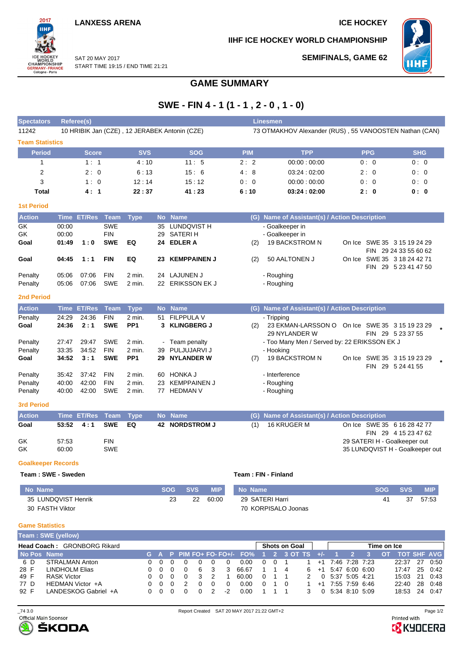SAT 20 MAY 2017

2017 iщ

WORLD<br>CHAMPIONSHIP<br>GERMANY-FRANCE<br>Cologne - Paris

**SEMIFINALS, GAME 62**

**IIHF ICE HOCKEY WORLD CHAMPIONSHIP**



START TIME 19:15 / END TIME 21:21

## **GAME SUMMARY**

# **SWE - FIN 4 - 1 (1 - 1 , 2 - 0 , 1 - 0)**

| <b>Spectators</b>         |       | Referee(s)         |             |                 |           |                                               | <b>Linesmen</b>                                        |                                               |        |            |                                                  |  |  |  |  |  |  |
|---------------------------|-------|--------------------|-------------|-----------------|-----------|-----------------------------------------------|--------------------------------------------------------|-----------------------------------------------|--------|------------|--------------------------------------------------|--|--|--|--|--|--|
| 11242                     |       |                    |             |                 |           | 10 HRIBIK Jan (CZE), 12 JERABEK Antonin (CZE) | 73 OTMAKHOV Alexander (RUS), 55 VANOOSTEN Nathan (CAN) |                                               |        |            |                                                  |  |  |  |  |  |  |
| <b>Team Statistics</b>    |       |                    |             |                 |           |                                               |                                                        |                                               |        |            |                                                  |  |  |  |  |  |  |
| <b>Period</b>             |       | <b>Score</b>       |             | <b>SVS</b>      |           | <b>SOG</b>                                    | <b>PIM</b>                                             | <b>TPP</b>                                    |        | <b>PPG</b> | <b>SHG</b>                                       |  |  |  |  |  |  |
| $\mathbf{1}$              |       | 1:1                |             | 4:10            |           | 11:5                                          | 2:2                                                    | 00:00:00:00                                   |        | 0:0        | 0:0                                              |  |  |  |  |  |  |
| $\overline{2}$            |       | 2:0                |             | 6:13            |           | 15:6                                          | 4:8                                                    | 03:24:02:00                                   |        | 2:0        | 0:0                                              |  |  |  |  |  |  |
| 3                         |       | 1:0                |             | 12:14           |           | 15:12                                         | 0:0                                                    | 00:00:00:00                                   |        | 0:0        | 0:0                                              |  |  |  |  |  |  |
| <b>Total</b>              |       | 4:1                |             | 22:37           |           | 41:23                                         | 6:10                                                   | 03:24:02:00                                   |        | 2:0        | 0:0                                              |  |  |  |  |  |  |
| <b>1st Period</b>         |       |                    |             |                 |           |                                               |                                                        |                                               |        |            |                                                  |  |  |  |  |  |  |
| <b>Action</b>             |       | Time ET/Res Team   |             | <b>Type</b>     |           | No Name                                       |                                                        | (G) Name of Assistant(s) / Action Description |        |            |                                                  |  |  |  |  |  |  |
| GK                        | 00:00 |                    | <b>SWE</b>  |                 | 35        | <b>LUNDQVIST H</b>                            |                                                        | - Goalkeeper in                               |        |            |                                                  |  |  |  |  |  |  |
| GK                        | 00:00 |                    | <b>FIN</b>  |                 |           | 29 SATERIH                                    |                                                        | - Goalkeeper in                               |        |            |                                                  |  |  |  |  |  |  |
| Goal                      | 01:49 | 1:0                | <b>SWE</b>  | EQ              | 24        | <b>EDLER A</b>                                | (2)                                                    | 19 BACKSTROM N                                |        |            | On Ice SWE 35 3 15 19 24 29                      |  |  |  |  |  |  |
|                           |       |                    |             |                 |           |                                               |                                                        |                                               |        |            | FIN 29 24 33 55 60 62                            |  |  |  |  |  |  |
| Goal                      | 04:45 | 1:1                | <b>FIN</b>  | EQ              | 23        | <b>KEMPPAINEN J</b>                           | (2)                                                    | 50 AALTONEN J                                 |        |            | On Ice SWE 35 3 18 24 42 71                      |  |  |  |  |  |  |
| Penalty                   | 05:06 | 07:06              | <b>FIN</b>  | 2 min.          |           | 24 LAJUNEN J                                  |                                                        | - Roughing                                    |        |            | FIN 29 5 23 41 47 50                             |  |  |  |  |  |  |
| Penalty                   | 05:06 | 07:06              | SWE         | 2 min.          |           | 22 ERIKSSON EK J                              |                                                        | - Roughing                                    |        |            |                                                  |  |  |  |  |  |  |
|                           |       |                    |             |                 |           |                                               |                                                        |                                               |        |            |                                                  |  |  |  |  |  |  |
| <b>2nd Period</b>         |       |                    |             |                 |           |                                               |                                                        |                                               |        |            |                                                  |  |  |  |  |  |  |
| <b>Action</b>             |       | Time ET/Res        | <b>Team</b> | <b>Type</b>     |           | No Name                                       |                                                        | (G) Name of Assistant(s) / Action Description |        |            |                                                  |  |  |  |  |  |  |
| Penalty                   | 24:29 | 24:36              | <b>FIN</b>  | 2 min.          |           | 51 FILPPULA V                                 |                                                        | - Tripping                                    |        |            |                                                  |  |  |  |  |  |  |
| Goal                      | 24:36 | 2:1                | <b>SWE</b>  | PP <sub>1</sub> | 3         | <b>KLINGBERG J</b>                            | (2)                                                    | 23 EKMAN-LARSSON O<br>29 NYLANDER W           |        |            | On Ice SWE 35 3 15 19 23 29<br>FIN 29 5 23 37 55 |  |  |  |  |  |  |
| Penalty                   | 27:47 | 29:47              | <b>SWE</b>  | $2$ min.        |           | Team penalty                                  |                                                        | - Too Many Men / Served by: 22 ERIKSSON EK J  |        |            |                                                  |  |  |  |  |  |  |
| Penalty                   | 33:35 | 34:52              | <b>FIN</b>  | 2 min.          | 39        | PULJUJARVI J                                  |                                                        | - Hooking                                     |        |            |                                                  |  |  |  |  |  |  |
| Goal                      | 34:52 | 3:1                | <b>SWE</b>  | PP <sub>1</sub> | 29        | <b>NYLANDER W</b>                             | (7)                                                    | 19 BACKSTROM N                                | On Ice |            | SWE 35 3 15 19 23 29<br>FIN 29 5 24 41 55        |  |  |  |  |  |  |
| Penalty                   | 35:42 | 37:42              | <b>FIN</b>  | 2 min.          | 60        | <b>HONKA J</b>                                |                                                        | - Interference                                |        |            |                                                  |  |  |  |  |  |  |
| Penalty                   | 40:00 | 42:00              | <b>FIN</b>  | 2 min.          | 23        | <b>KEMPPAINEN J</b>                           |                                                        | - Roughing                                    |        |            |                                                  |  |  |  |  |  |  |
| Penalty                   | 40:00 | 42:00              | <b>SWE</b>  | 2 min.          |           | 77 HEDMAN V                                   |                                                        | - Roughing                                    |        |            |                                                  |  |  |  |  |  |  |
| <b>3rd Period</b>         |       |                    |             |                 |           |                                               |                                                        |                                               |        |            |                                                  |  |  |  |  |  |  |
| <b>Action</b>             |       | <b>Time ET/Res</b> | <b>Team</b> | <b>Type</b>     | <b>No</b> | <b>Name</b>                                   | (G)                                                    | Name of Assistant(s) / Action Description     |        |            |                                                  |  |  |  |  |  |  |
| Goal                      | 53:52 | 4:1                | <b>SWE</b>  | EQ              |           | 42 NORDSTROM J                                | (1)                                                    | 16 KRUGER M                                   |        |            | On Ice SWE 35 6 16 28 42 77                      |  |  |  |  |  |  |
|                           |       |                    |             |                 |           |                                               |                                                        |                                               |        |            | FIN 29 4 15 23 47 62                             |  |  |  |  |  |  |
| GK                        | 57:53 |                    | <b>FIN</b>  |                 |           |                                               |                                                        |                                               |        |            | 29 SATERI H - Goalkeeper out                     |  |  |  |  |  |  |
| GK                        | 60:00 |                    | SWE         |                 |           |                                               |                                                        |                                               |        |            | 35 LUNDQVIST H - Goalkeeper out                  |  |  |  |  |  |  |
| <b>Goalkeeper Records</b> |       |                    |             |                 |           |                                               |                                                        |                                               |        |            |                                                  |  |  |  |  |  |  |
| Team: SWE - Sweden        |       |                    |             |                 |           |                                               |                                                        | Team: FIN - Finland                           |        |            |                                                  |  |  |  |  |  |  |
|                           |       |                    |             |                 |           |                                               |                                                        |                                               |        |            |                                                  |  |  |  |  |  |  |

### **No Name SOG SVS MIP** 35 LUNDQVIST Henrik 30 FASTH Viktor 23 22 60:00 **No Name SOG SVS MIP** 29 SATERI Harri 70 KORPISALO Joonas 41 37 57:53

### **Game Statistics**

|                                    | Team: SWE (yellow)    |  |     |          |  |   |  |    |                                         |          |                      |  |  |          |                        |             |  |     |       |     |                    |
|------------------------------------|-----------------------|--|-----|----------|--|---|--|----|-----------------------------------------|----------|----------------------|--|--|----------|------------------------|-------------|--|-----|-------|-----|--------------------|
| <b>Head Coach: GRONBORG Rikard</b> |                       |  |     |          |  |   |  |    |                                         |          | <b>Shots on Goal</b> |  |  |          |                        | Time on Ice |  |     |       |     |                    |
| No Pos Name                        |                       |  |     |          |  |   |  |    | G A P PIM FO+ FO- FO+/- FO% 1 2 3 OT TS |          |                      |  |  |          |                        |             |  | OT. |       |     | <b>TOT SHF AVG</b> |
| 6 D                                | <b>STRALMAN Anton</b> |  |     |          |  |   |  |    | 0.00                                    | $\Omega$ |                      |  |  |          | +1 7:46 7:28 7:23      |             |  |     | 22:37 | 27  | 0:50               |
| 28 F                               | LINDHOLM Elias        |  |     |          |  | 6 |  |    | 66.67                                   |          | 14                   |  |  |          | $6 + 1$ 5:47 6:00 6:00 |             |  |     | 17:47 |     | 25 0:42            |
| 49 F                               | <b>RASK Victor</b>    |  |     | - 0      |  |   |  |    | 60.00                                   |          |                      |  |  | $\Omega$ | 5:37 5:05 4:21         |             |  |     | 15:03 | 21  | 0:43               |
| 77 D                               | HEDMAN Victor +A      |  | 0 0 | $\Omega$ |  |   |  |    | 0.00                                    |          |                      |  |  |          | $+1$ 7:55 7:59 6:46    |             |  |     | 22:40 |     | 28 0:48            |
| 92 F                               | LANDESKOG Gabriel +A  |  |     |          |  |   |  | -2 | 0.00                                    |          |                      |  |  |          | $0.534$ 8.10 5.09      |             |  |     | 18:53 | -24 | 0.47               |